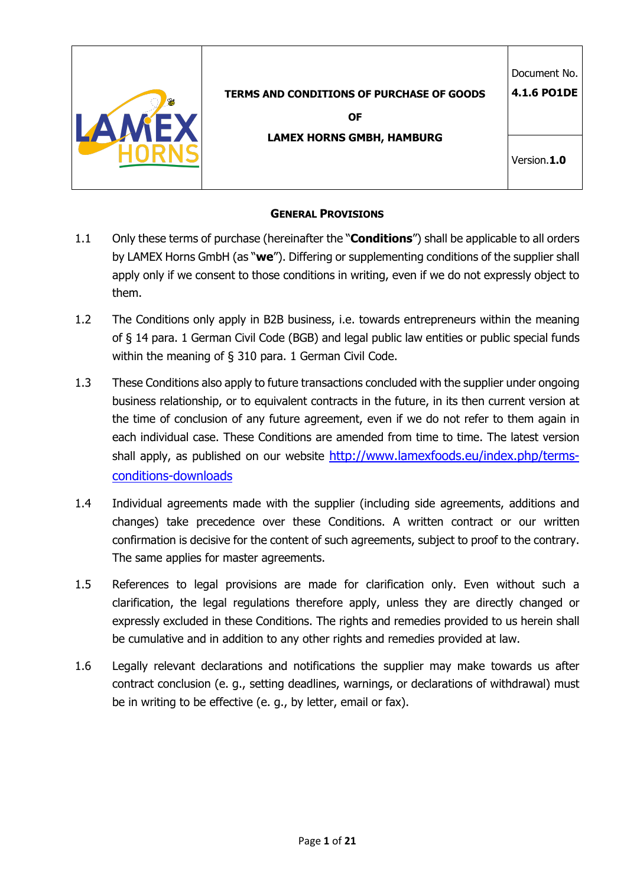| <b>TERMS AND CONDITIONS OF PURCHASE OF GOODS</b><br><b>OF</b> | Document No.<br>4.1.6 PO1DE |
|---------------------------------------------------------------|-----------------------------|
| <b>LAMEX HORNS GMBH, HAMBURG</b>                              | Version.1.0                 |

## **GENERAL PROVISIONS**

- 1.1 Only these terms of purchase (hereinafter the "**Conditions**") shall be applicable to all orders by LAMEX Horns GmbH (as "**we**"). Differing or supplementing conditions of the supplier shall apply only if we consent to those conditions in writing, even if we do not expressly object to them.
- 1.2 The Conditions only apply in B2B business, i.e. towards entrepreneurs within the meaning of § 14 para. 1 German Civil Code (BGB) and legal public law entities or public special funds within the meaning of § 310 para. 1 German Civil Code.
- 1.3 These Conditions also apply to future transactions concluded with the supplier under ongoing business relationship, or to equivalent contracts in the future, in its then current version at the time of conclusion of any future agreement, even if we do not refer to them again in each individual case. These Conditions are amended from time to time. The latest version shall apply, as published on our website http://www.lamexfoods.eu/index.php/termsconditions-downloads
- 1.4 Individual agreements made with the supplier (including side agreements, additions and changes) take precedence over these Conditions. A written contract or our written confirmation is decisive for the content of such agreements, subject to proof to the contrary. The same applies for master agreements.
- 1.5 References to legal provisions are made for clarification only. Even without such a clarification, the legal regulations therefore apply, unless they are directly changed or expressly excluded in these Conditions. The rights and remedies provided to us herein shall be cumulative and in addition to any other rights and remedies provided at law.
- 1.6 Legally relevant declarations and notifications the supplier may make towards us after contract conclusion (e. g., setting deadlines, warnings, or declarations of withdrawal) must be in writing to be effective (e. g., by letter, email or fax).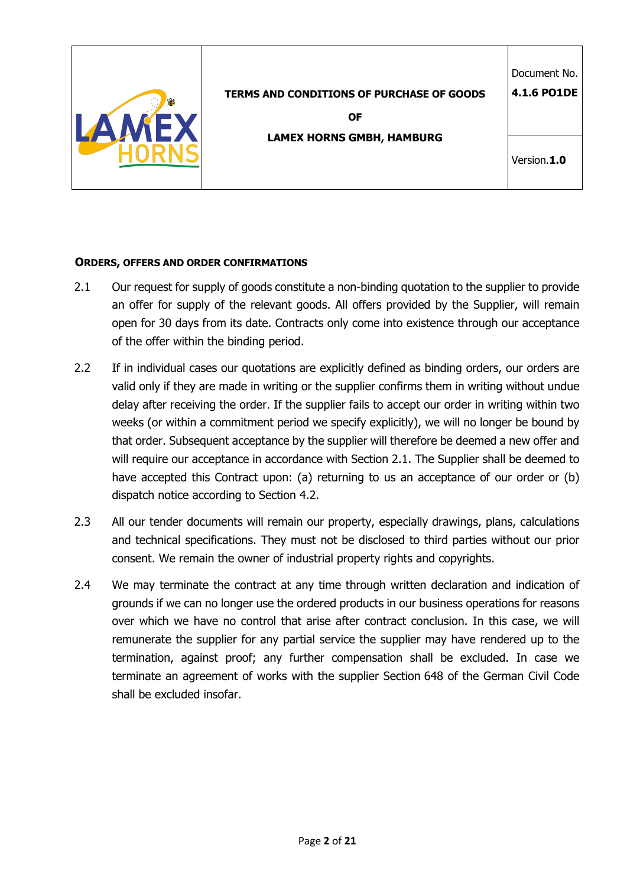| <b>TERMS AND CONDITIONS OF PURCHASE OF GOODS</b><br><b>OF</b> | Document No.<br>4.1.6 PO1DE |
|---------------------------------------------------------------|-----------------------------|
| <b>LAMEX HORNS GMBH, HAMBURG</b>                              | Version.1.0                 |

### **ORDERS, OFFERS AND ORDER CONFIRMATIONS**

- 2.1 Our request for supply of goods constitute a non-binding quotation to the supplier to provide an offer for supply of the relevant goods. All offers provided by the Supplier, will remain open for 30 days from its date. Contracts only come into existence through our acceptance of the offer within the binding period.
- 2.2 If in individual cases our quotations are explicitly defined as binding orders, our orders are valid only if they are made in writing or the supplier confirms them in writing without undue delay after receiving the order. If the supplier fails to accept our order in writing within two weeks (or within a commitment period we specify explicitly), we will no longer be bound by that order. Subsequent acceptance by the supplier will therefore be deemed a new offer and will require our acceptance in accordance with Section 2.1. The Supplier shall be deemed to have accepted this Contract upon: (a) returning to us an acceptance of our order or (b) dispatch notice according to Section 4.2.
- 2.3 All our tender documents will remain our property, especially drawings, plans, calculations and technical specifications. They must not be disclosed to third parties without our prior consent. We remain the owner of industrial property rights and copyrights.
- 2.4 We may terminate the contract at any time through written declaration and indication of grounds if we can no longer use the ordered products in our business operations for reasons over which we have no control that arise after contract conclusion. In this case, we will remunerate the supplier for any partial service the supplier may have rendered up to the termination, against proof; any further compensation shall be excluded. In case we terminate an agreement of works with the supplier Section 648 of the German Civil Code shall be excluded insofar.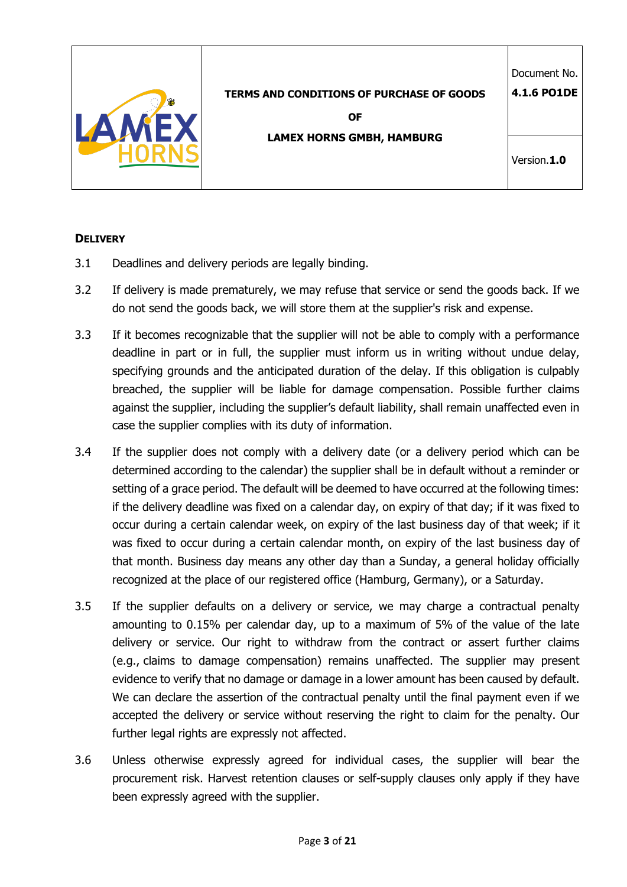

**OF** 

**LAMEX HORNS GMBH, HAMBURG**

Document No. **4.1.6 PO1DE**

# **DELIVERY**

- 3.1 Deadlines and delivery periods are legally binding.
- 3.2 If delivery is made prematurely, we may refuse that service or send the goods back. If we do not send the goods back, we will store them at the supplier's risk and expense.
- 3.3 If it becomes recognizable that the supplier will not be able to comply with a performance deadline in part or in full, the supplier must inform us in writing without undue delay, specifying grounds and the anticipated duration of the delay. If this obligation is culpably breached, the supplier will be liable for damage compensation. Possible further claims against the supplier, including the supplier's default liability, shall remain unaffected even in case the supplier complies with its duty of information.
- 3.4 If the supplier does not comply with a delivery date (or a delivery period which can be determined according to the calendar) the supplier shall be in default without a reminder or setting of a grace period. The default will be deemed to have occurred at the following times: if the delivery deadline was fixed on a calendar day, on expiry of that day; if it was fixed to occur during a certain calendar week, on expiry of the last business day of that week; if it was fixed to occur during a certain calendar month, on expiry of the last business day of that month. Business day means any other day than a Sunday, a general holiday officially recognized at the place of our registered office (Hamburg, Germany), or a Saturday.
- 3.5 If the supplier defaults on a delivery or service, we may charge a contractual penalty amounting to 0.15% per calendar day, up to a maximum of 5% of the value of the late delivery or service. Our right to withdraw from the contract or assert further claims (e.g., claims to damage compensation) remains unaffected. The supplier may present evidence to verify that no damage or damage in a lower amount has been caused by default. We can declare the assertion of the contractual penalty until the final payment even if we accepted the delivery or service without reserving the right to claim for the penalty. Our further legal rights are expressly not affected.
- 3.6 Unless otherwise expressly agreed for individual cases, the supplier will bear the procurement risk. Harvest retention clauses or self-supply clauses only apply if they have been expressly agreed with the supplier.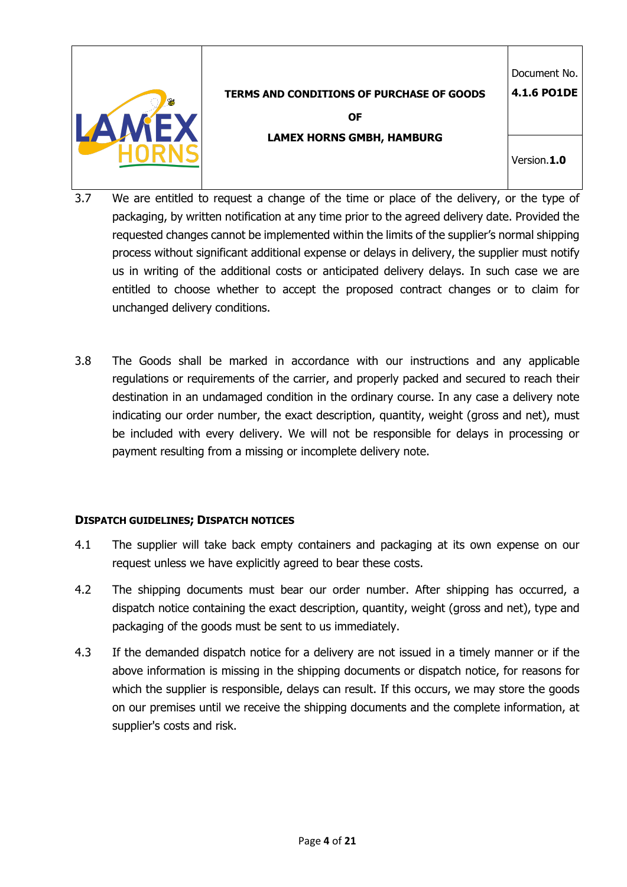

**OF LAMEX HORNS GMBH, HAMBURG**

Version.**1.0**

Document No. **4.1.6 PO1DE**

- 3.7 We are entitled to request a change of the time or place of the delivery, or the type of packaging, by written notification at any time prior to the agreed delivery date. Provided the requested changes cannot be implemented within the limits of the supplier's normal shipping process without significant additional expense or delays in delivery, the supplier must notify us in writing of the additional costs or anticipated delivery delays. In such case we are entitled to choose whether to accept the proposed contract changes or to claim for unchanged delivery conditions.
- 3.8 The Goods shall be marked in accordance with our instructions and any applicable regulations or requirements of the carrier, and properly packed and secured to reach their destination in an undamaged condition in the ordinary course. In any case a delivery note indicating our order number, the exact description, quantity, weight (gross and net), must be included with every delivery. We will not be responsible for delays in processing or payment resulting from a missing or incomplete delivery note.

# **DISPATCH GUIDELINES; DISPATCH NOTICES**

- 4.1 The supplier will take back empty containers and packaging at its own expense on our request unless we have explicitly agreed to bear these costs.
- 4.2 The shipping documents must bear our order number. After shipping has occurred, a dispatch notice containing the exact description, quantity, weight (gross and net), type and packaging of the goods must be sent to us immediately.
- 4.3 If the demanded dispatch notice for a delivery are not issued in a timely manner or if the above information is missing in the shipping documents or dispatch notice, for reasons for which the supplier is responsible, delays can result. If this occurs, we may store the goods on our premises until we receive the shipping documents and the complete information, at supplier's costs and risk.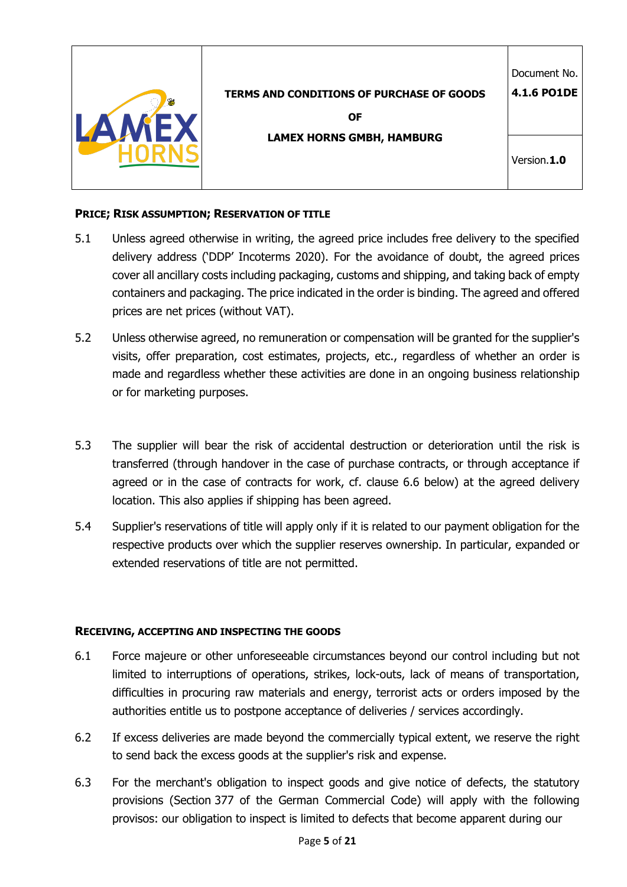|                                                  | Document No.       |
|--------------------------------------------------|--------------------|
| <b>TERMS AND CONDITIONS OF PURCHASE OF GOODS</b> | <b>4.1.6 PO1DE</b> |
| <b>OF</b>                                        |                    |
| <b>LAMEX HORNS GMBH, HAMBURG</b>                 |                    |
|                                                  | Version.1.0        |
|                                                  |                    |

## **PRICE; RISK ASSUMPTION; RESERVATION OF TITLE**

- 5.1 Unless agreed otherwise in writing, the agreed price includes free delivery to the specified delivery address ('DDP' Incoterms 2020). For the avoidance of doubt, the agreed prices cover all ancillary costs including packaging, customs and shipping, and taking back of empty containers and packaging. The price indicated in the order is binding. The agreed and offered prices are net prices (without VAT).
- 5.2 Unless otherwise agreed, no remuneration or compensation will be granted for the supplier's visits, offer preparation, cost estimates, projects, etc., regardless of whether an order is made and regardless whether these activities are done in an ongoing business relationship or for marketing purposes.
- 5.3 The supplier will bear the risk of accidental destruction or deterioration until the risk is transferred (through handover in the case of purchase contracts, or through acceptance if agreed or in the case of contracts for work, cf. clause 6.6 below) at the agreed delivery location. This also applies if shipping has been agreed.
- 5.4 Supplier's reservations of title will apply only if it is related to our payment obligation for the respective products over which the supplier reserves ownership. In particular, expanded or extended reservations of title are not permitted.

## **RECEIVING, ACCEPTING AND INSPECTING THE GOODS**

- 6.1 Force majeure or other unforeseeable circumstances beyond our control including but not limited to interruptions of operations, strikes, lock-outs, lack of means of transportation, difficulties in procuring raw materials and energy, terrorist acts or orders imposed by the authorities entitle us to postpone acceptance of deliveries / services accordingly.
- 6.2 If excess deliveries are made beyond the commercially typical extent, we reserve the right to send back the excess goods at the supplier's risk and expense.
- 6.3 For the merchant's obligation to inspect goods and give notice of defects, the statutory provisions (Section 377 of the German Commercial Code) will apply with the following provisos: our obligation to inspect is limited to defects that become apparent during our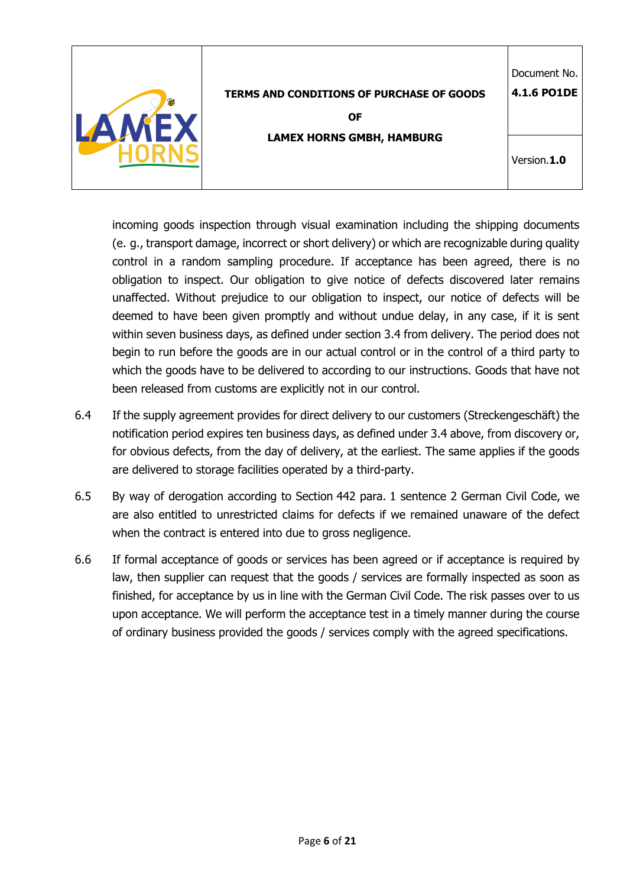|                                                  | Document No. |
|--------------------------------------------------|--------------|
| <b>TERMS AND CONDITIONS OF PURCHASE OF GOODS</b> | 4.1.6 PO1DE  |
| <b>OF</b>                                        |              |
| <b>LAMEX HORNS GMBH, HAMBURG</b>                 |              |
|                                                  | Version.1.0  |
|                                                  |              |

incoming goods inspection through visual examination including the shipping documents (e. g., transport damage, incorrect or short delivery) or which are recognizable during quality control in a random sampling procedure. If acceptance has been agreed, there is no obligation to inspect. Our obligation to give notice of defects discovered later remains unaffected. Without prejudice to our obligation to inspect, our notice of defects will be deemed to have been given promptly and without undue delay, in any case, if it is sent within seven business days, as defined under section 3.4 from delivery. The period does not begin to run before the goods are in our actual control or in the control of a third party to which the goods have to be delivered to according to our instructions. Goods that have not been released from customs are explicitly not in our control.

- 6.4 If the supply agreement provides for direct delivery to our customers (Streckengeschäft) the notification period expires ten business days, as defined under 3.4 above, from discovery or, for obvious defects, from the day of delivery, at the earliest. The same applies if the goods are delivered to storage facilities operated by a third-party.
- 6.5 By way of derogation according to Section 442 para. 1 sentence 2 German Civil Code, we are also entitled to unrestricted claims for defects if we remained unaware of the defect when the contract is entered into due to gross negligence.
- 6.6 If formal acceptance of goods or services has been agreed or if acceptance is required by law, then supplier can request that the goods / services are formally inspected as soon as finished, for acceptance by us in line with the German Civil Code. The risk passes over to us upon acceptance. We will perform the acceptance test in a timely manner during the course of ordinary business provided the goods / services comply with the agreed specifications.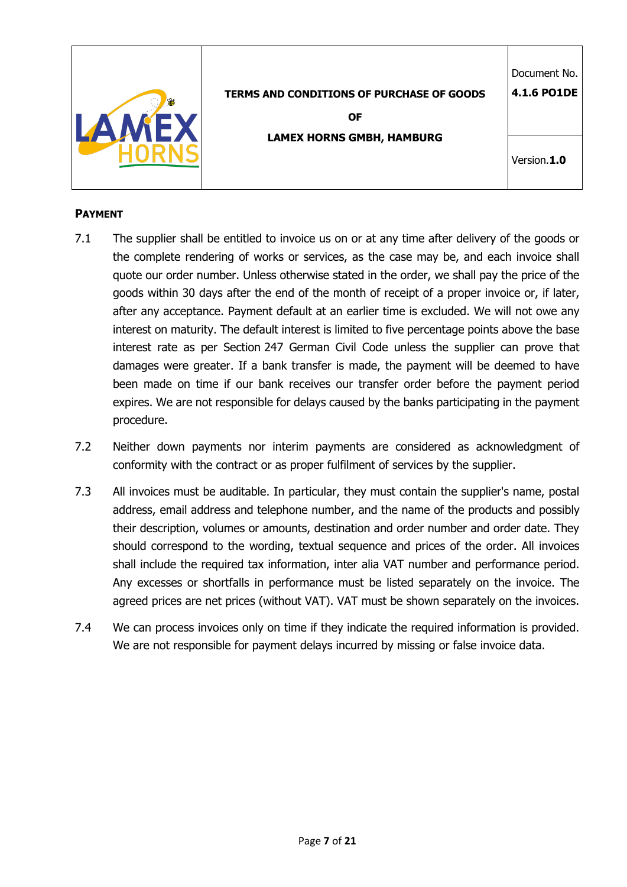| <b>TERMS AND CONDITIONS OF PURCHASE OF GOODS</b><br><b>OF</b><br><b>LAMEX HORNS GMBH, HAMBURG</b> | Document No.<br>4.1.6 PO1DE<br>Version.1.0 |
|---------------------------------------------------------------------------------------------------|--------------------------------------------|
|                                                                                                   |                                            |

# **PAYMENT**

- 7.1 The supplier shall be entitled to invoice us on or at any time after delivery of the goods or the complete rendering of works or services, as the case may be, and each invoice shall quote our order number. Unless otherwise stated in the order, we shall pay the price of the goods within 30 days after the end of the month of receipt of a proper invoice or, if later, after any acceptance. Payment default at an earlier time is excluded. We will not owe any interest on maturity. The default interest is limited to five percentage points above the base interest rate as per Section 247 German Civil Code unless the supplier can prove that damages were greater. If a bank transfer is made, the payment will be deemed to have been made on time if our bank receives our transfer order before the payment period expires. We are not responsible for delays caused by the banks participating in the payment procedure.
- 7.2 Neither down payments nor interim payments are considered as acknowledgment of conformity with the contract or as proper fulfilment of services by the supplier.
- 7.3 All invoices must be auditable. In particular, they must contain the supplier's name, postal address, email address and telephone number, and the name of the products and possibly their description, volumes or amounts, destination and order number and order date. They should correspond to the wording, textual sequence and prices of the order. All invoices shall include the required tax information, inter alia VAT number and performance period. Any excesses or shortfalls in performance must be listed separately on the invoice. The agreed prices are net prices (without VAT). VAT must be shown separately on the invoices.
- 7.4 We can process invoices only on time if they indicate the required information is provided. We are not responsible for payment delays incurred by missing or false invoice data.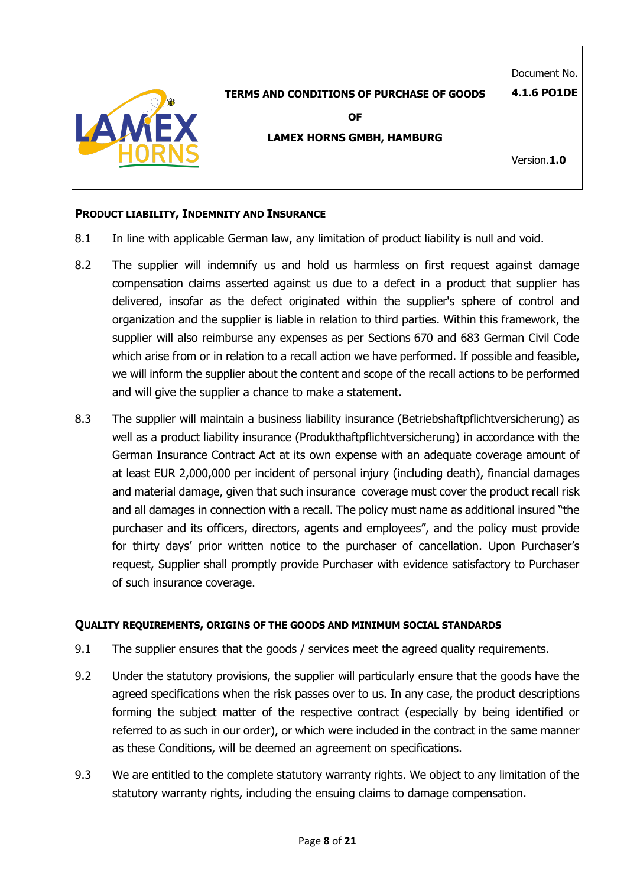|                                                  | Document No.       |
|--------------------------------------------------|--------------------|
| <b>TERMS AND CONDITIONS OF PURCHASE OF GOODS</b> | <b>4.1.6 PO1DE</b> |
| <b>OF</b>                                        |                    |
| <b>LAMEX HORNS GMBH, HAMBURG</b>                 | Version.1.0        |

### **PRODUCT LIABILITY, INDEMNITY AND INSURANCE**

- 8.1 In line with applicable German law, any limitation of product liability is null and void.
- 8.2 The supplier will indemnify us and hold us harmless on first request against damage compensation claims asserted against us due to a defect in a product that supplier has delivered, insofar as the defect originated within the supplier's sphere of control and organization and the supplier is liable in relation to third parties. Within this framework, the supplier will also reimburse any expenses as per Sections 670 and 683 German Civil Code which arise from or in relation to a recall action we have performed. If possible and feasible, we will inform the supplier about the content and scope of the recall actions to be performed and will give the supplier a chance to make a statement.
- 8.3 The supplier will maintain a business liability insurance (Betriebshaftpflichtversicherung) as well as a product liability insurance (Produkthaftpflichtversicherung) in accordance with the German Insurance Contract Act at its own expense with an adequate coverage amount of at least EUR 2,000,000 per incident of personal injury (including death), financial damages and material damage, given that such insurance coverage must cover the product recall risk and all damages in connection with a recall. The policy must name as additional insured "the purchaser and its officers, directors, agents and employees", and the policy must provide for thirty days' prior written notice to the purchaser of cancellation. Upon Purchaser's request, Supplier shall promptly provide Purchaser with evidence satisfactory to Purchaser of such insurance coverage.

#### **QUALITY REQUIREMENTS, ORIGINS OF THE GOODS AND MINIMUM SOCIAL STANDARDS**

- 9.1 The supplier ensures that the goods / services meet the agreed quality requirements.
- 9.2 Under the statutory provisions, the supplier will particularly ensure that the goods have the agreed specifications when the risk passes over to us. In any case, the product descriptions forming the subject matter of the respective contract (especially by being identified or referred to as such in our order), or which were included in the contract in the same manner as these Conditions, will be deemed an agreement on specifications.
- 9.3 We are entitled to the complete statutory warranty rights. We object to any limitation of the statutory warranty rights, including the ensuing claims to damage compensation.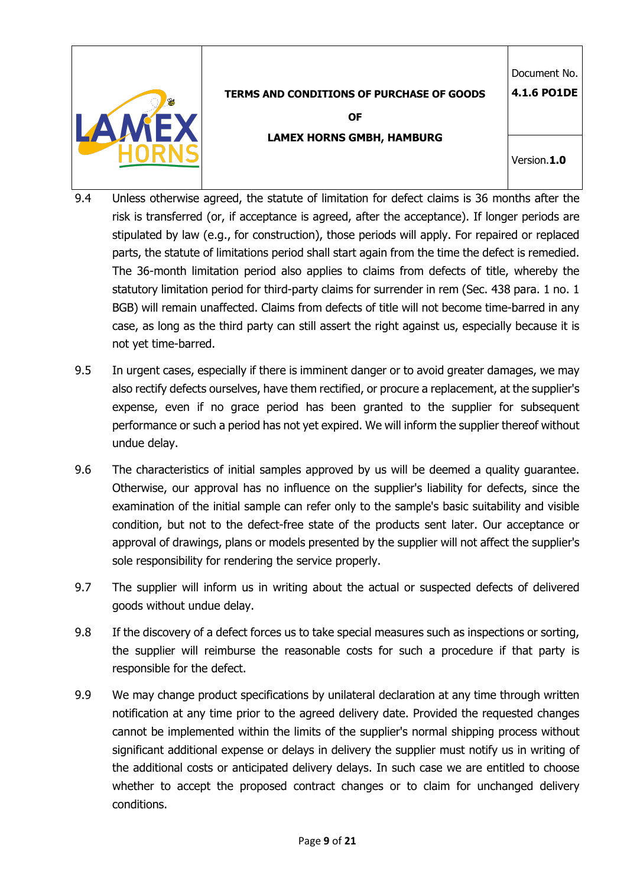|--|

**OF** 

Document No. **4.1.6 PO1DE**

**LAMEX HORNS GMBH, HAMBURG**

Version.**1.0**

- 9.4 Unless otherwise agreed, the statute of limitation for defect claims is 36 months after the risk is transferred (or, if acceptance is agreed, after the acceptance). If longer periods are stipulated by law (e.g., for construction), those periods will apply. For repaired or replaced parts, the statute of limitations period shall start again from the time the defect is remedied. The 36-month limitation period also applies to claims from defects of title, whereby the statutory limitation period for third-party claims for surrender in rem (Sec. 438 para. 1 no. 1 BGB) will remain unaffected. Claims from defects of title will not become time-barred in any case, as long as the third party can still assert the right against us, especially because it is not yet time-barred.
- 9.5 In urgent cases, especially if there is imminent danger or to avoid greater damages, we may also rectify defects ourselves, have them rectified, or procure a replacement, at the supplier's expense, even if no grace period has been granted to the supplier for subsequent performance or such a period has not yet expired. We will inform the supplier thereof without undue delay.
- 9.6 The characteristics of initial samples approved by us will be deemed a quality guarantee. Otherwise, our approval has no influence on the supplier's liability for defects, since the examination of the initial sample can refer only to the sample's basic suitability and visible condition, but not to the defect-free state of the products sent later. Our acceptance or approval of drawings, plans or models presented by the supplier will not affect the supplier's sole responsibility for rendering the service properly.
- 9.7 The supplier will inform us in writing about the actual or suspected defects of delivered goods without undue delay.
- 9.8 If the discovery of a defect forces us to take special measures such as inspections or sorting, the supplier will reimburse the reasonable costs for such a procedure if that party is responsible for the defect.
- 9.9 We may change product specifications by unilateral declaration at any time through written notification at any time prior to the agreed delivery date. Provided the requested changes cannot be implemented within the limits of the supplier's normal shipping process without significant additional expense or delays in delivery the supplier must notify us in writing of the additional costs or anticipated delivery delays. In such case we are entitled to choose whether to accept the proposed contract changes or to claim for unchanged delivery conditions.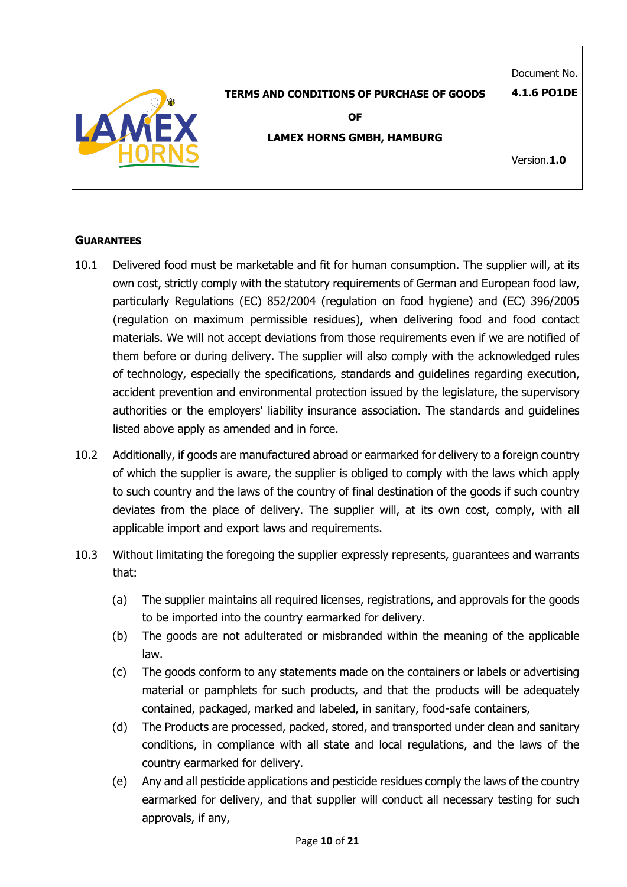|  | <b>TERMS AND CONDITIONS OF PURCHASE OF GOODS</b><br>0F | Document No.<br>4.1.6 PO1DE |
|--|--------------------------------------------------------|-----------------------------|
|  | <b>LAMEX HORNS GMBH, HAMBURG</b>                       | Version.1.0                 |

#### **GUARANTEES**

- 10.1 Delivered food must be marketable and fit for human consumption. The supplier will, at its own cost, strictly comply with the statutory requirements of German and European food law, particularly Regulations (EC) 852/2004 (regulation on food hygiene) and (EC) 396/2005 (regulation on maximum permissible residues), when delivering food and food contact materials. We will not accept deviations from those requirements even if we are notified of them before or during delivery. The supplier will also comply with the acknowledged rules of technology, especially the specifications, standards and guidelines regarding execution, accident prevention and environmental protection issued by the legislature, the supervisory authorities or the employers' liability insurance association. The standards and guidelines listed above apply as amended and in force.
- 10.2 Additionally, if goods are manufactured abroad or earmarked for delivery to a foreign country of which the supplier is aware, the supplier is obliged to comply with the laws which apply to such country and the laws of the country of final destination of the goods if such country deviates from the place of delivery. The supplier will, at its own cost, comply, with all applicable import and export laws and requirements.
- 10.3 Without limitating the foregoing the supplier expressly represents, guarantees and warrants that:
	- (a) The supplier maintains all required licenses, registrations, and approvals for the goods to be imported into the country earmarked for delivery.
	- (b) The goods are not adulterated or misbranded within the meaning of the applicable law.
	- (c) The goods conform to any statements made on the containers or labels or advertising material or pamphlets for such products, and that the products will be adequately contained, packaged, marked and labeled, in sanitary, food-safe containers,
	- (d) The Products are processed, packed, stored, and transported under clean and sanitary conditions, in compliance with all state and local regulations, and the laws of the country earmarked for delivery.
	- (e) Any and all pesticide applications and pesticide residues comply the laws of the country earmarked for delivery, and that supplier will conduct all necessary testing for such approvals, if any,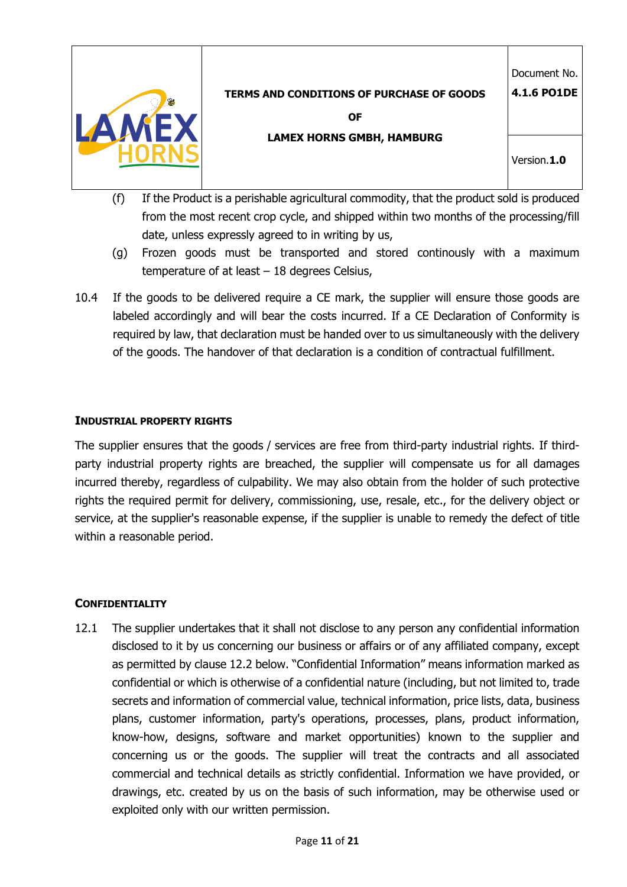

**OF** 

**LAMEX HORNS GMBH, HAMBURG**

Version.**1.0**

Document No. **4.1.6 PO1DE**

- (f) If the Product is a perishable agricultural commodity, that the product sold is produced from the most recent crop cycle, and shipped within two months of the processing/fill date, unless expressly agreed to in writing by us,
- (g) Frozen goods must be transported and stored continously with a maximum temperature of at least – 18 degrees Celsius,
- 10.4 If the goods to be delivered require a CE mark, the supplier will ensure those goods are labeled accordingly and will bear the costs incurred. If a CE Declaration of Conformity is required by law, that declaration must be handed over to us simultaneously with the delivery of the goods. The handover of that declaration is a condition of contractual fulfillment.

# **INDUSTRIAL PROPERTY RIGHTS**

The supplier ensures that the goods / services are free from third-party industrial rights. If thirdparty industrial property rights are breached, the supplier will compensate us for all damages incurred thereby, regardless of culpability. We may also obtain from the holder of such protective rights the required permit for delivery, commissioning, use, resale, etc., for the delivery object or service, at the supplier's reasonable expense, if the supplier is unable to remedy the defect of title within a reasonable period.

# **CONFIDENTIALITY**

12.1 The supplier undertakes that it shall not disclose to any person any confidential information disclosed to it by us concerning our business or affairs or of any affiliated company, except as permitted by clause 12.2 below. "Confidential Information" means information marked as confidential or which is otherwise of a confidential nature (including, but not limited to, trade secrets and information of commercial value, technical information, price lists, data, business plans, customer information, party's operations, processes, plans, product information, know-how, designs, software and market opportunities) known to the supplier and concerning us or the goods. The supplier will treat the contracts and all associated commercial and technical details as strictly confidential. Information we have provided, or drawings, etc. created by us on the basis of such information, may be otherwise used or exploited only with our written permission.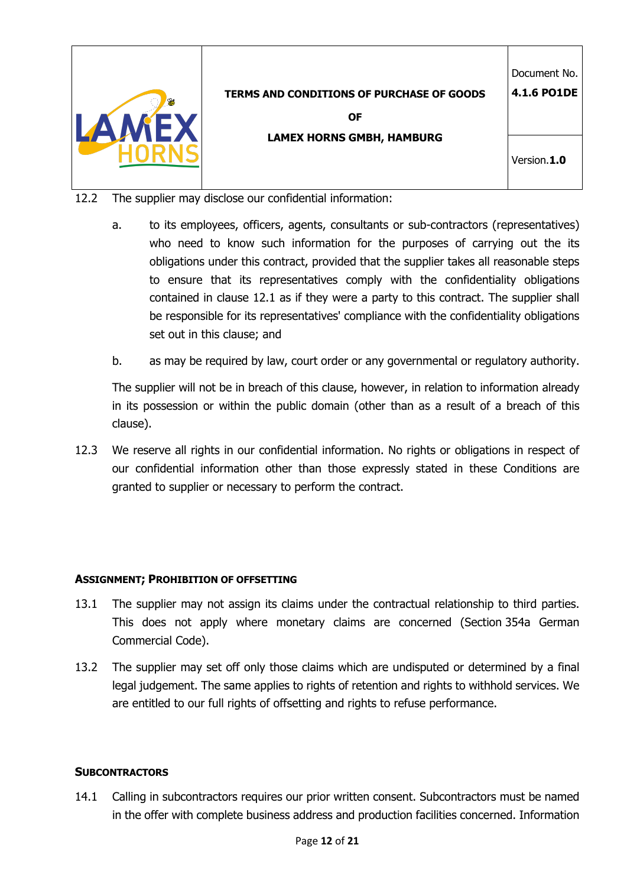|                                                  | Document No. |
|--------------------------------------------------|--------------|
| <b>TERMS AND CONDITIONS OF PURCHASE OF GOODS</b> | 4.1.6 PO1DE  |
| <b>OF</b>                                        |              |
| <b>LAMEX HORNS GMBH, HAMBURG</b>                 |              |
|                                                  | Version.1.0  |
|                                                  |              |

- 12.2 The supplier may disclose our confidential information:
	- a. to its employees, officers, agents, consultants or sub-contractors (representatives) who need to know such information for the purposes of carrying out the its obligations under this contract, provided that the supplier takes all reasonable steps to ensure that its representatives comply with the confidentiality obligations contained in clause 12.1 as if they were a party to this contract. The supplier shall be responsible for its representatives' compliance with the confidentiality obligations set out in this clause; and
	- b. as may be required by law, court order or any governmental or regulatory authority.

The supplier will not be in breach of this clause, however, in relation to information already in its possession or within the public domain (other than as a result of a breach of this clause).

12.3 We reserve all rights in our confidential information. No rights or obligations in respect of our confidential information other than those expressly stated in these Conditions are granted to supplier or necessary to perform the contract.

## **ASSIGNMENT; PROHIBITION OF OFFSETTING**

- 13.1 The supplier may not assign its claims under the contractual relationship to third parties. This does not apply where monetary claims are concerned (Section 354a German Commercial Code).
- 13.2 The supplier may set off only those claims which are undisputed or determined by a final legal judgement. The same applies to rights of retention and rights to withhold services. We are entitled to our full rights of offsetting and rights to refuse performance.

#### **SUBCONTRACTORS**

14.1 Calling in subcontractors requires our prior written consent. Subcontractors must be named in the offer with complete business address and production facilities concerned. Information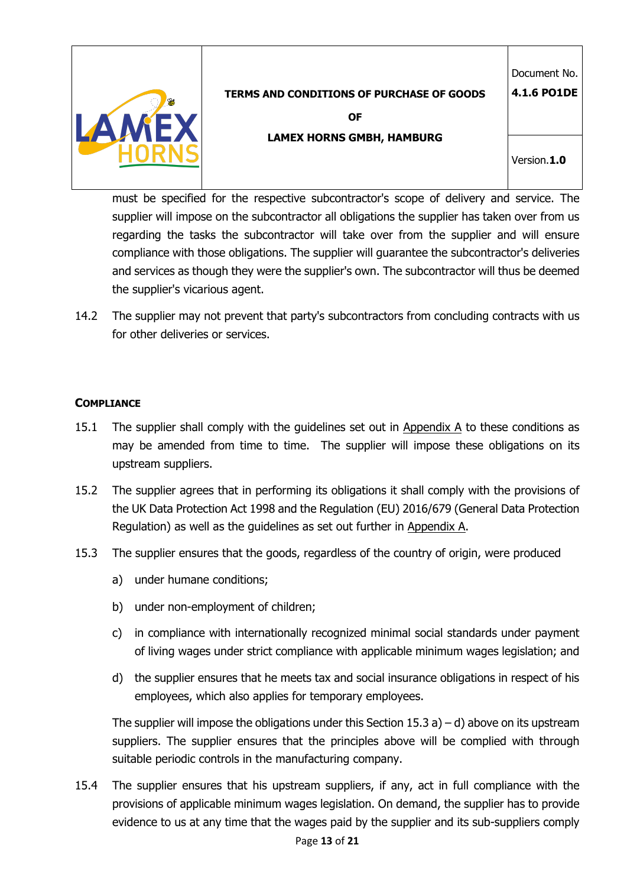

**OF** 

**LAMEX HORNS GMBH, HAMBURG**

Version.**1.0**

Document No. **4.1.6 PO1DE**

must be specified for the respective subcontractor's scope of delivery and service. The supplier will impose on the subcontractor all obligations the supplier has taken over from us regarding the tasks the subcontractor will take over from the supplier and will ensure compliance with those obligations. The supplier will guarantee the subcontractor's deliveries and services as though they were the supplier's own. The subcontractor will thus be deemed the supplier's vicarious agent.

14.2 The supplier may not prevent that party's subcontractors from concluding contracts with us for other deliveries or services.

# **COMPLIANCE**

- 15.1 The supplier shall comply with the guidelines set out in Appendix A to these conditions as may be amended from time to time. The supplier will impose these obligations on its upstream suppliers.
- 15.2 The supplier agrees that in performing its obligations it shall comply with the provisions of the UK Data Protection Act 1998 and the Regulation (EU) 2016/679 (General Data Protection Regulation) as well as the guidelines as set out further in Appendix A.
- 15.3 The supplier ensures that the goods, regardless of the country of origin, were produced
	- a) under humane conditions;
	- b) under non-employment of children;
	- c) in compliance with internationally recognized minimal social standards under payment of living wages under strict compliance with applicable minimum wages legislation; and
	- d) the supplier ensures that he meets tax and social insurance obligations in respect of his employees, which also applies for temporary employees.

The supplier will impose the obligations under this Section 15.3 a) – d) above on its upstream suppliers. The supplier ensures that the principles above will be complied with through suitable periodic controls in the manufacturing company.

15.4 The supplier ensures that his upstream suppliers, if any, act in full compliance with the provisions of applicable minimum wages legislation. On demand, the supplier has to provide evidence to us at any time that the wages paid by the supplier and its sub-suppliers comply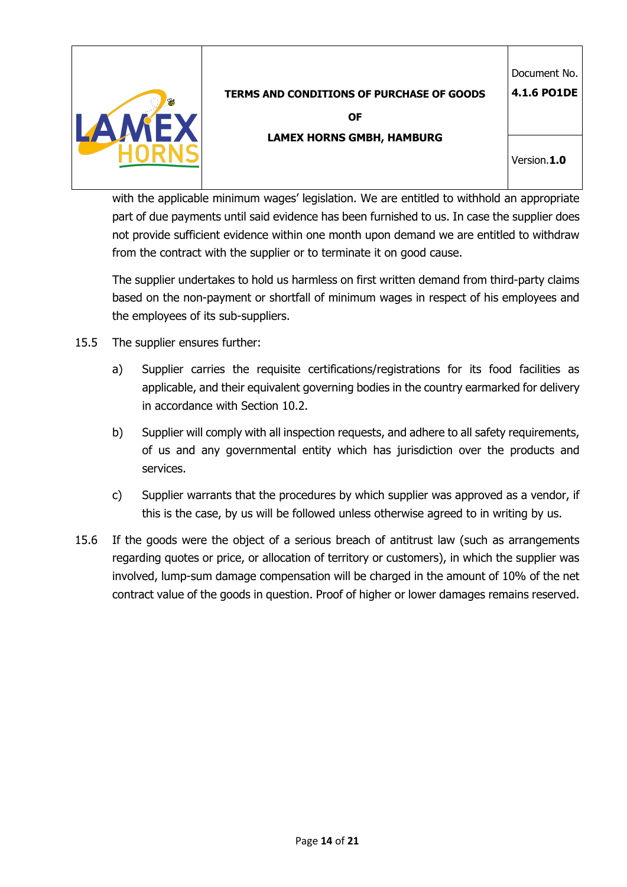

**OF** 

Document No. **4.1.6 PO1DE**

**LAMEX HORNS GMBH, HAMBURG**

Version.**1.0**

with the applicable minimum wages' legislation. We are entitled to withhold an appropriate part of due payments until said evidence has been furnished to us. In case the supplier does not provide sufficient evidence within one month upon demand we are entitled to withdraw from the contract with the supplier or to terminate it on good cause.

The supplier undertakes to hold us harmless on first written demand from third-party claims based on the non-payment or shortfall of minimum wages in respect of his employees and the employees of its sub-suppliers.

- 15.5 The supplier ensures further:
	- a) Supplier carries the requisite certifications/registrations for its food facilities as applicable, and their equivalent governing bodies in the country earmarked for delivery in accordance with Section 10.2.
	- b) Supplier will comply with all inspection requests, and adhere to all safety requirements, of us and any governmental entity which has jurisdiction over the products and services.
	- c) Supplier warrants that the procedures by which supplier was approved as a vendor, if this is the case, by us will be followed unless otherwise agreed to in writing by us.
- 15.6 If the goods were the object of a serious breach of antitrust law (such as arrangements regarding quotes or price, or allocation of territory or customers), in which the supplier was involved, lump-sum damage compensation will be charged in the amount of 10% of the net contract value of the goods in question. Proof of higher or lower damages remains reserved.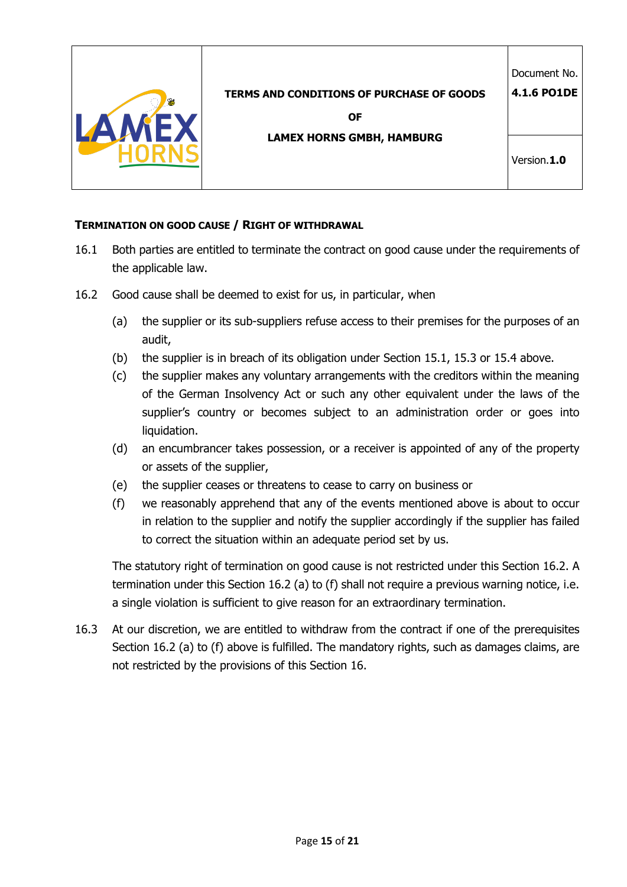

### **TERMINATION ON GOOD CAUSE / RIGHT OF WITHDRAWAL**

- 16.1 Both parties are entitled to terminate the contract on good cause under the requirements of the applicable law.
- 16.2 Good cause shall be deemed to exist for us, in particular, when
	- (a) the supplier or its sub-suppliers refuse access to their premises for the purposes of an audit,
	- (b) the supplier is in breach of its obligation under Section 15.1, 15.3 or 15.4 above.
	- (c) the supplier makes any voluntary arrangements with the creditors within the meaning of the German Insolvency Act or such any other equivalent under the laws of the supplier's country or becomes subject to an administration order or goes into liquidation.
	- (d) an encumbrancer takes possession, or a receiver is appointed of any of the property or assets of the supplier,
	- (e) the supplier ceases or threatens to cease to carry on business or
	- (f) we reasonably apprehend that any of the events mentioned above is about to occur in relation to the supplier and notify the supplier accordingly if the supplier has failed to correct the situation within an adequate period set by us.

The statutory right of termination on good cause is not restricted under this Section 16.2. A termination under this Section 16.2 (a) to (f) shall not require a previous warning notice, i.e. a single violation is sufficient to give reason for an extraordinary termination.

16.3 At our discretion, we are entitled to withdraw from the contract if one of the prerequisites Section 16.2 (a) to (f) above is fulfilled. The mandatory rights, such as damages claims, are not restricted by the provisions of this Section 16.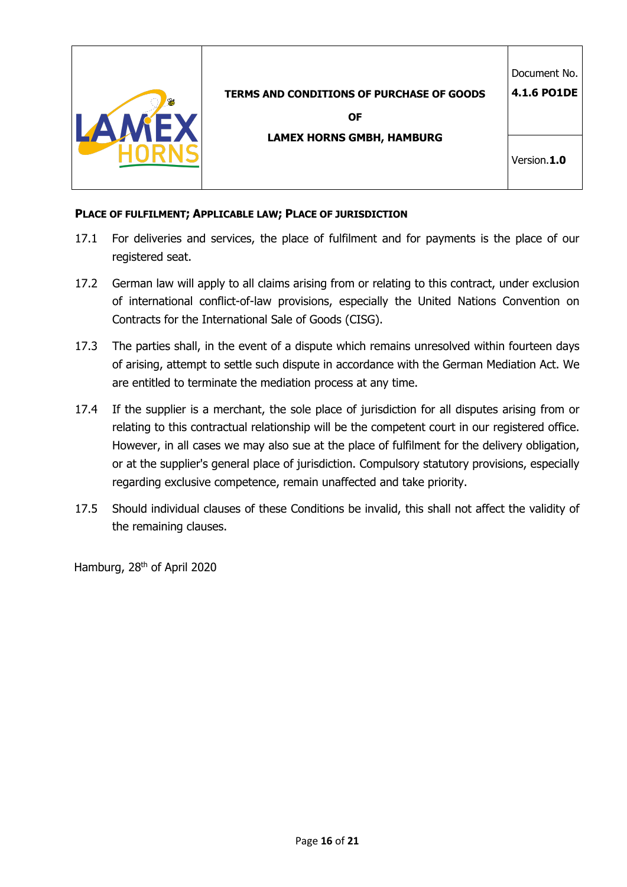| <b>TERMS AND CONDITIONS OF PURCHASE OF GOODS</b><br><b>OF</b> | Document No.<br>4.1.6 PO1DE |
|---------------------------------------------------------------|-----------------------------|
| <b>LAMEX HORNS GMBH, HAMBURG</b>                              | Version.1.0                 |

### **PLACE OF FULFILMENT; APPLICABLE LAW; PLACE OF JURISDICTION**

- 17.1 For deliveries and services, the place of fulfilment and for payments is the place of our registered seat.
- 17.2 German law will apply to all claims arising from or relating to this contract, under exclusion of international conflict-of-law provisions, especially the United Nations Convention on Contracts for the International Sale of Goods (CISG).
- 17.3 The parties shall, in the event of a dispute which remains unresolved within fourteen days of arising, attempt to settle such dispute in accordance with the German Mediation Act. We are entitled to terminate the mediation process at any time.
- 17.4 If the supplier is a merchant, the sole place of jurisdiction for all disputes arising from or relating to this contractual relationship will be the competent court in our registered office. However, in all cases we may also sue at the place of fulfilment for the delivery obligation, or at the supplier's general place of jurisdiction. Compulsory statutory provisions, especially regarding exclusive competence, remain unaffected and take priority.
- 17.5 Should individual clauses of these Conditions be invalid, this shall not affect the validity of the remaining clauses.

Hamburg, 28<sup>th</sup> of April 2020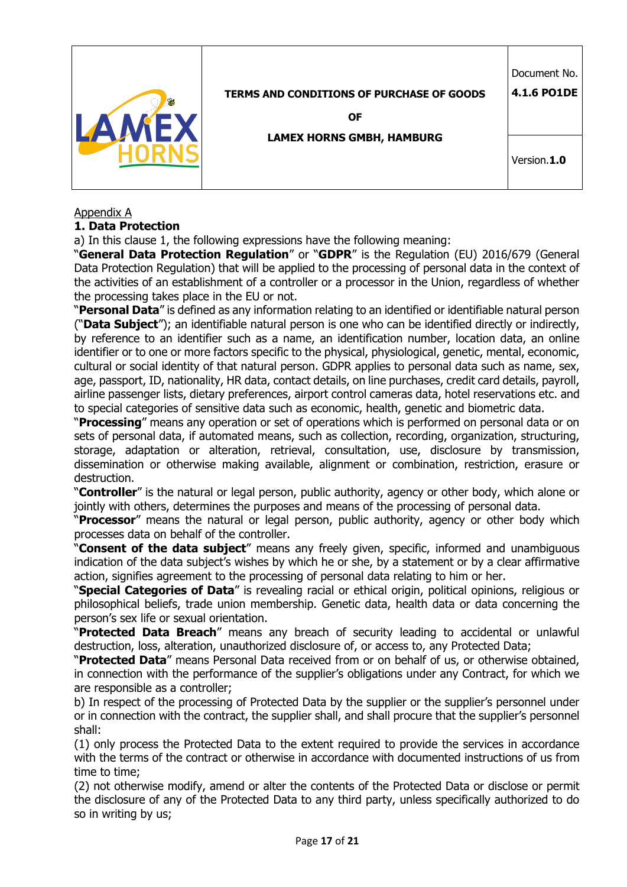|  |                                                  | Document No.       |
|--|--------------------------------------------------|--------------------|
|  | <b>TERMS AND CONDITIONS OF PURCHASE OF GOODS</b> | <b>4.1.6 PO1DE</b> |
|  | <b>OF</b>                                        |                    |
|  | <b>LAMEX HORNS GMBH, HAMBURG</b>                 | Version.1.0        |

### Appendix A

### **1. Data Protection**

a) In this clause 1, the following expressions have the following meaning:

"**General Data Protection Regulation**" or "**GDPR**" is the Regulation (EU) 2016/679 (General Data Protection Regulation) that will be applied to the processing of personal data in the context of the activities of an establishment of a controller or a processor in the Union, regardless of whether the processing takes place in the EU or not.

"**Personal Data**" is defined as any information relating to an identified or identifiable natural person ("**Data Subject**"); an identifiable natural person is one who can be identified directly or indirectly, by reference to an identifier such as a name, an identification number, location data, an online identifier or to one or more factors specific to the physical, physiological, genetic, mental, economic, cultural or social identity of that natural person. GDPR applies to personal data such as name, sex, age, passport, ID, nationality, HR data, contact details, on line purchases, credit card details, payroll, airline passenger lists, dietary preferences, airport control cameras data, hotel reservations etc. and to special categories of sensitive data such as economic, health, genetic and biometric data.

"**Processing**" means any operation or set of operations which is performed on personal data or on sets of personal data, if automated means, such as collection, recording, organization, structuring, storage, adaptation or alteration, retrieval, consultation, use, disclosure by transmission, dissemination or otherwise making available, alignment or combination, restriction, erasure or destruction.

"**Controller**" is the natural or legal person, public authority, agency or other body, which alone or jointly with others, determines the purposes and means of the processing of personal data.

"**Processor**" means the natural or legal person, public authority, agency or other body which processes data on behalf of the controller.

"**Consent of the data subject**" means any freely given, specific, informed and unambiguous indication of the data subject's wishes by which he or she, by a statement or by a clear affirmative action, signifies agreement to the processing of personal data relating to him or her.

"**Special Categories of Data**" is revealing racial or ethical origin, political opinions, religious or philosophical beliefs, trade union membership. Genetic data, health data or data concerning the person's sex life or sexual orientation.

"**Protected Data Breach**" means any breach of security leading to accidental or unlawful destruction, loss, alteration, unauthorized disclosure of, or access to, any Protected Data;

"**Protected Data**" means Personal Data received from or on behalf of us, or otherwise obtained, in connection with the performance of the supplier's obligations under any Contract, for which we are responsible as a controller;

b) In respect of the processing of Protected Data by the supplier or the supplier's personnel under or in connection with the contract, the supplier shall, and shall procure that the supplier's personnel shall:

(1) only process the Protected Data to the extent required to provide the services in accordance with the terms of the contract or otherwise in accordance with documented instructions of us from time to time;

(2) not otherwise modify, amend or alter the contents of the Protected Data or disclose or permit the disclosure of any of the Protected Data to any third party, unless specifically authorized to do so in writing by us;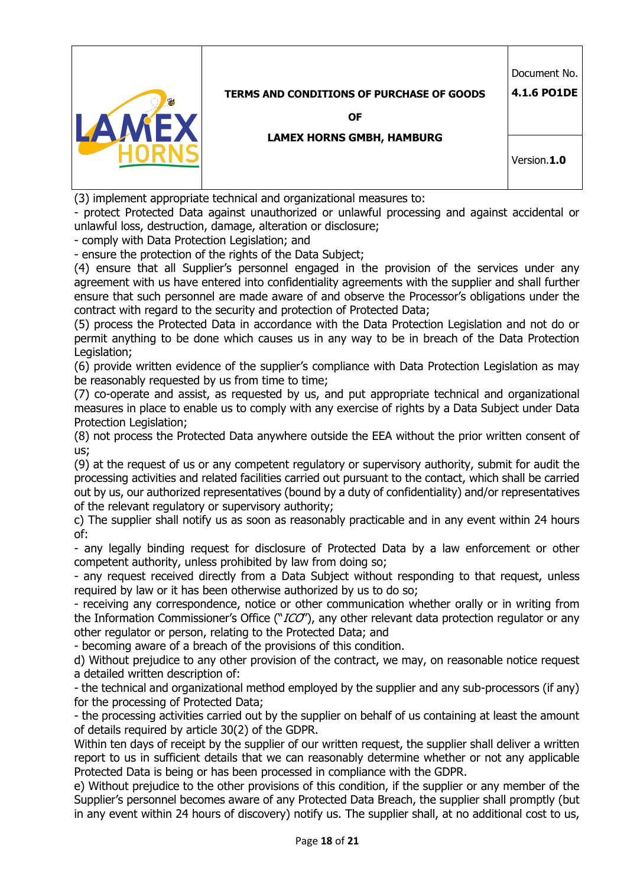

(3) implement appropriate technical and organizational measures to:

- protect Protected Data against unauthorized or unlawful processing and against accidental or unlawful loss, destruction, damage, alteration or disclosure;

- comply with Data Protection Legislation; and

- ensure the protection of the rights of the Data Subject;

(4) ensure that all Supplier's personnel engaged in the provision of the services under any agreement with us have entered into confidentiality agreements with the supplier and shall further ensure that such personnel are made aware of and observe the Processor's obligations under the contract with regard to the security and protection of Protected Data;

(5) process the Protected Data in accordance with the Data Protection Legislation and not do or permit anything to be done which causes us in any way to be in breach of the Data Protection Legislation;

(6) provide written evidence of the supplier's compliance with Data Protection Legislation as may be reasonably requested by us from time to time;

(7) co-operate and assist, as requested by us, and put appropriate technical and organizational measures in place to enable us to comply with any exercise of rights by a Data Subject under Data Protection Legislation;

(8) not process the Protected Data anywhere outside the EEA without the prior written consent of us;

(9) at the request of us or any competent regulatory or supervisory authority, submit for audit the processing activities and related facilities carried out pursuant to the contact, which shall be carried out by us, our authorized representatives (bound by a duty of confidentiality) and/or representatives of the relevant regulatory or supervisory authority;

c) The supplier shall notify us as soon as reasonably practicable and in any event within 24 hours of:

- any legally binding request for disclosure of Protected Data by a law enforcement or other competent authority, unless prohibited by law from doing so;

- any request received directly from a Data Subject without responding to that request, unless required by law or it has been otherwise authorized by us to do so;

- receiving any correspondence, notice or other communication whether orally or in writing from the Information Commissioner's Office ("ICO"), any other relevant data protection regulator or any other regulator or person, relating to the Protected Data; and

- becoming aware of a breach of the provisions of this condition.

d) Without prejudice to any other provision of the contract, we may, on reasonable notice request a detailed written description of:

- the technical and organizational method employed by the supplier and any sub-processors (if any) for the processing of Protected Data;

- the processing activities carried out by the supplier on behalf of us containing at least the amount of details required by article 30(2) of the GDPR.

Within ten days of receipt by the supplier of our written request, the supplier shall deliver a written report to us in sufficient details that we can reasonably determine whether or not any applicable Protected Data is being or has been processed in compliance with the GDPR.

e) Without prejudice to the other provisions of this condition, if the supplier or any member of the Supplier's personnel becomes aware of any Protected Data Breach, the supplier shall promptly (but in any event within 24 hours of discovery) notify us. The supplier shall, at no additional cost to us,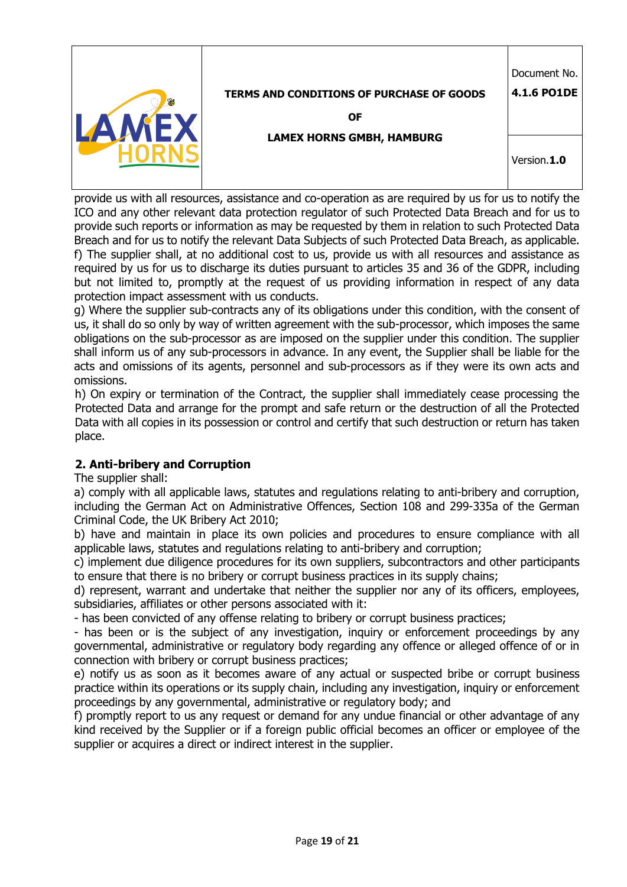|                                                  | Document No. |  |
|--------------------------------------------------|--------------|--|
| <b>TERMS AND CONDITIONS OF PURCHASE OF GOODS</b> | 4.1.6 PO1DE  |  |
| <b>OF</b>                                        |              |  |
| <b>LAMEX HORNS GMBH, HAMBURG</b>                 |              |  |
|                                                  | Version.1.0  |  |
|                                                  |              |  |

provide us with all resources, assistance and co-operation as are required by us for us to notify the ICO and any other relevant data protection regulator of such Protected Data Breach and for us to provide such reports or information as may be requested by them in relation to such Protected Data Breach and for us to notify the relevant Data Subjects of such Protected Data Breach, as applicable. f) The supplier shall, at no additional cost to us, provide us with all resources and assistance as required by us for us to discharge its duties pursuant to articles 35 and 36 of the GDPR, including but not limited to, promptly at the request of us providing information in respect of any data protection impact assessment with us conducts.

g) Where the supplier sub-contracts any of its obligations under this condition, with the consent of us, it shall do so only by way of written agreement with the sub-processor, which imposes the same obligations on the sub-processor as are imposed on the supplier under this condition. The supplier shall inform us of any sub-processors in advance. In any event, the Supplier shall be liable for the acts and omissions of its agents, personnel and sub-processors as if they were its own acts and omissions.

h) On expiry or termination of the Contract, the supplier shall immediately cease processing the Protected Data and arrange for the prompt and safe return or the destruction of all the Protected Data with all copies in its possession or control and certify that such destruction or return has taken place.

## **2. Anti-bribery and Corruption**

The supplier shall:

a) comply with all applicable laws, statutes and regulations relating to anti-bribery and corruption, including the German Act on Administrative Offences, Section 108 and 299-335a of the German Criminal Code, the UK Bribery Act 2010;

b) have and maintain in place its own policies and procedures to ensure compliance with all applicable laws, statutes and regulations relating to anti-bribery and corruption;

c) implement due diligence procedures for its own suppliers, subcontractors and other participants to ensure that there is no bribery or corrupt business practices in its supply chains;

d) represent, warrant and undertake that neither the supplier nor any of its officers, employees, subsidiaries, affiliates or other persons associated with it:

- has been convicted of any offense relating to bribery or corrupt business practices;

- has been or is the subject of any investigation, inquiry or enforcement proceedings by any governmental, administrative or regulatory body regarding any offence or alleged offence of or in connection with bribery or corrupt business practices;

e) notify us as soon as it becomes aware of any actual or suspected bribe or corrupt business practice within its operations or its supply chain, including any investigation, inquiry or enforcement proceedings by any governmental, administrative or regulatory body; and

f) promptly report to us any request or demand for any undue financial or other advantage of any kind received by the Supplier or if a foreign public official becomes an officer or employee of the supplier or acquires a direct or indirect interest in the supplier.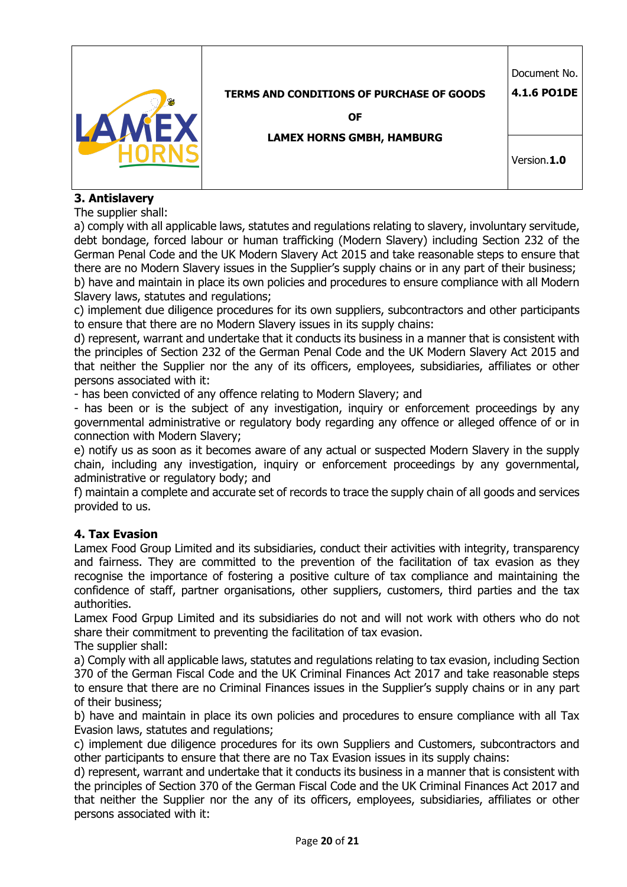|                                                  | Document No. |
|--------------------------------------------------|--------------|
| <b>TERMS AND CONDITIONS OF PURCHASE OF GOODS</b> | 4.1.6 PO1DE  |
| <b>OF</b>                                        |              |
| <b>LAMEX HORNS GMBH, HAMBURG</b>                 |              |
|                                                  | Version.1.0  |
|                                                  |              |

# **3. Antislavery**

The supplier shall:

a) comply with all applicable laws, statutes and regulations relating to slavery, involuntary servitude, debt bondage, forced labour or human trafficking (Modern Slavery) including Section 232 of the German Penal Code and the UK Modern Slavery Act 2015 and take reasonable steps to ensure that there are no Modern Slavery issues in the Supplier's supply chains or in any part of their business; b) have and maintain in place its own policies and procedures to ensure compliance with all Modern Slavery laws, statutes and regulations;

c) implement due diligence procedures for its own suppliers, subcontractors and other participants to ensure that there are no Modern Slavery issues in its supply chains:

d) represent, warrant and undertake that it conducts its business in a manner that is consistent with the principles of Section 232 of the German Penal Code and the UK Modern Slavery Act 2015 and that neither the Supplier nor the any of its officers, employees, subsidiaries, affiliates or other persons associated with it:

- has been convicted of any offence relating to Modern Slavery; and

- has been or is the subject of any investigation, inquiry or enforcement proceedings by any governmental administrative or regulatory body regarding any offence or alleged offence of or in connection with Modern Slavery;

e) notify us as soon as it becomes aware of any actual or suspected Modern Slavery in the supply chain, including any investigation, inquiry or enforcement proceedings by any governmental, administrative or regulatory body; and

f) maintain a complete and accurate set of records to trace the supply chain of all goods and services provided to us.

## **4. Tax Evasion**

Lamex Food Group Limited and its subsidiaries, conduct their activities with integrity, transparency and fairness. They are committed to the prevention of the facilitation of tax evasion as they recognise the importance of fostering a positive culture of tax compliance and maintaining the confidence of staff, partner organisations, other suppliers, customers, third parties and the tax authorities.

Lamex Food Grpup Limited and its subsidiaries do not and will not work with others who do not share their commitment to preventing the facilitation of tax evasion. The supplier shall:

a) Comply with all applicable laws, statutes and regulations relating to tax evasion, including Section 370 of the German Fiscal Code and the UK Criminal Finances Act 2017 and take reasonable steps to ensure that there are no Criminal Finances issues in the Supplier's supply chains or in any part of their business;

b) have and maintain in place its own policies and procedures to ensure compliance with all Tax Evasion laws, statutes and regulations;

c) implement due diligence procedures for its own Suppliers and Customers, subcontractors and other participants to ensure that there are no Tax Evasion issues in its supply chains:

d) represent, warrant and undertake that it conducts its business in a manner that is consistent with the principles of Section 370 of the German Fiscal Code and the UK Criminal Finances Act 2017 and that neither the Supplier nor the any of its officers, employees, subsidiaries, affiliates or other persons associated with it: